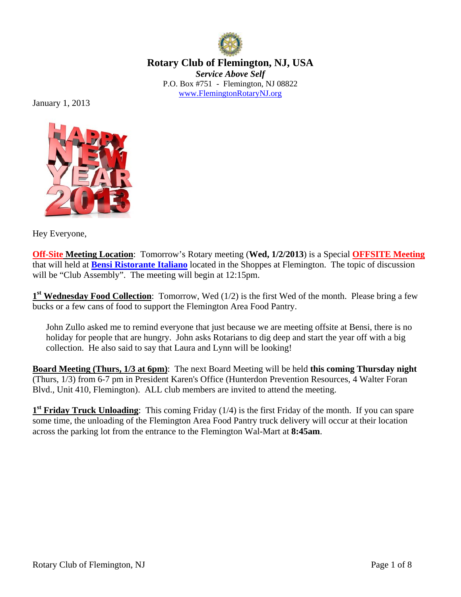

**Rotary Club of Flemington, NJ, USA**  *Service Above Self*  P.O. Box #751 - Flemington, NJ 08822 www.FlemingtonRotaryNJ.org

January 1, 2013



Hey Everyone,

**Off-Site Meeting Location**: Tomorrow's Rotary meeting (**Wed, 1/2/2013**) is a Special **OFFSITE Meeting** that will held at **Bensi Ristorante Italiano** located in the Shoppes at Flemington. The topic of discussion will be "Club Assembly". The meeting will begin at 12:15pm.

**1st Wednesday Food Collection**: Tomorrow, Wed (1/2) is the first Wed of the month. Please bring a few bucks or a few cans of food to support the Flemington Area Food Pantry.

John Zullo asked me to remind everyone that just because we are meeting offsite at Bensi, there is no holiday for people that are hungry. John asks Rotarians to dig deep and start the year off with a big collection. He also said to say that Laura and Lynn will be looking!

**Board Meeting (Thurs, 1/3 at 6pm)**: The next Board Meeting will be held **this coming Thursday night**  (Thurs, 1/3) from 6-7 pm in President Karen's Office (Hunterdon Prevention Resources, 4 Walter Foran Blvd., Unit 410, Flemington). ALL club members are invited to attend the meeting.

**1st Friday Truck Unloading**: This coming Friday (1/4) is the first Friday of the month. If you can spare some time, the unloading of the Flemington Area Food Pantry truck delivery will occur at their location across the parking lot from the entrance to the Flemington Wal-Mart at **8:45am**.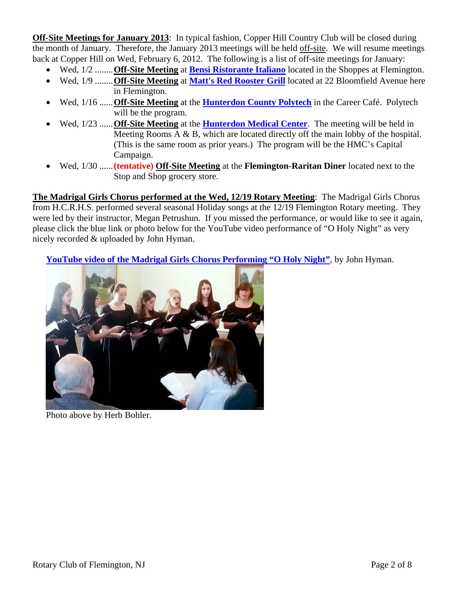**Off-Site Meetings for January 2013:** In typical fashion, Copper Hill Country Club will be closed during the month of January. Therefore, the January 2013 meetings will be held off-site. We will resume meetings back at Copper Hill on Wed, February 6, 2012. The following is a list of off-site meetings for January:

- Wed, 1/2 ........ **Off-Site Meeting** at **Bensi Ristorante Italiano** located in the Shoppes at Flemington.
- Wed, 1/9 ........ **Off-Site Meeting** at **Matt's Red Rooster Grill** located at 22 Bloomfield Avenue here in Flemington.
- Wed, 1/16 ...... **Off-Site Meeting** at the **Hunterdon County Polytech** in the Career Café. Polytech will be the program.
- Wed, 1/23 ...... **Off-Site Meeting** at the **Hunterdon Medical Center**. The meeting will be held in Meeting Rooms A & B, which are located directly off the main lobby of the hospital. (This is the same room as prior years.) The program will be the HMC's Capital Campaign.
- Wed, 1/30 ...... **(tentative) Off-Site Meeting** at the **Flemington-Raritan Diner** located next to the Stop and Shop grocery store.

**The Madrigal Girls Chorus performed at the Wed, 12/19 Rotary Meeting**: The Madrigal Girls Chorus from H.C.R.H.S. performed several seasonal Holiday songs at the 12/19 Flemington Rotary meeting. They were led by their instructor, Megan Petrushun. If you missed the performance, or would like to see it again, please click the blue link or photo below for the YouTube video performance of "O Holy Night" as very nicely recorded & uploaded by John Hyman.

**YouTube video of the Madrigal Girls Chorus Performing "O Holy Night"**, by John Hyman.



Photo above by Herb Bohler.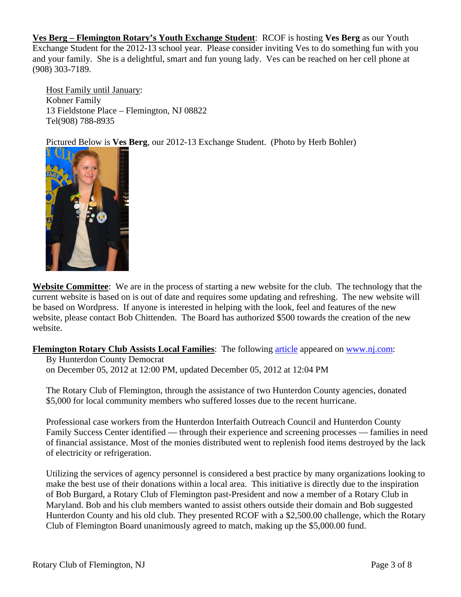**Ves Berg – Flemington Rotary's Youth Exchange Student**: RCOF is hosting **Ves Berg** as our Youth Exchange Student for the 2012-13 school year. Please consider inviting Ves to do something fun with you and your family. She is a delightful, smart and fun young lady. Ves can be reached on her cell phone at (908) 303-7189.

Host Family until January: Kobner Family 13 Fieldstone Place – Flemington, NJ 08822 Tel(908) 788-8935

Pictured Below is **Ves Berg**, our 2012-13 Exchange Student. (Photo by Herb Bohler)



**Website Committee**: We are in the process of starting a new website for the club. The technology that the current website is based on is out of date and requires some updating and refreshing. The new website will be based on Wordpress. If anyone is interested in helping with the look, feel and features of the new website, please contact Bob Chittenden. The Board has authorized \$500 towards the creation of the new website.

**Flemington Rotary Club Assists Local Families**: The following article appeared on www.nj.com:

By Hunterdon County Democrat on December 05, 2012 at 12:00 PM, updated December 05, 2012 at 12:04 PM

The Rotary Club of Flemington, through the assistance of two Hunterdon County agencies, donated \$5,000 for local community members who suffered losses due to the recent hurricane.

Professional case workers from the Hunterdon Interfaith Outreach Council and Hunterdon County Family Success Center identified — through their experience and screening processes — families in need of financial assistance. Most of the monies distributed went to replenish food items destroyed by the lack of electricity or refrigeration.

Utilizing the services of agency personnel is considered a best practice by many organizations looking to make the best use of their donations within a local area. This initiative is directly due to the inspiration of Bob Burgard, a Rotary Club of Flemington past-President and now a member of a Rotary Club in Maryland. Bob and his club members wanted to assist others outside their domain and Bob suggested Hunterdon County and his old club. They presented RCOF with a \$2,500.00 challenge, which the Rotary Club of Flemington Board unanimously agreed to match, making up the \$5,000.00 fund.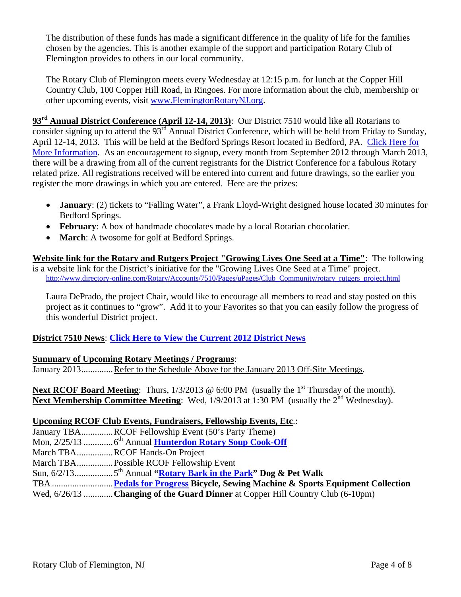The distribution of these funds has made a significant difference in the quality of life for the families chosen by the agencies. This is another example of the support and participation Rotary Club of Flemington provides to others in our local community.

The Rotary Club of Flemington meets every Wednesday at 12:15 p.m. for lunch at the Copper Hill Country Club, 100 Copper Hill Road, in Ringoes. For more information about the club, membership or other upcoming events, visit www.FlemingtonRotaryNJ.org.

**93rd Annual District Conference (April 12-14, 2013)**: Our District 7510 would like all Rotarians to consider signing up to attend the 93<sup>rd</sup> Annual District Conference, which will be held from Friday to Sunday, April 12-14, 2013. This will be held at the Bedford Springs Resort located in Bedford, PA. Click Here for More Information. As an encouragement to signup, every month from September 2012 through March 2013, there will be a drawing from all of the current registrants for the District Conference for a fabulous Rotary related prize. All registrations received will be entered into current and future drawings, so the earlier you register the more drawings in which you are entered. Here are the prizes:

- **January**: (2) tickets to "Falling Water", a Frank Lloyd-Wright designed house located 30 minutes for Bedford Springs.
- **February**: A box of handmade chocolates made by a local Rotarian chocolatier.
- **March**: A twosome for golf at Bedford Springs.

**Website link for the Rotary and Rutgers Project "Growing Lives One Seed at a Time"**: The following is a website link for the District's initiative for the "Growing Lives One Seed at a Time" project. http://www.directory-online.com/Rotary/Accounts/7510/Pages/uPages/Club\_Community/rotary\_rutgers\_project.html

Laura DePrado, the project Chair, would like to encourage all members to read and stay posted on this project as it continues to "grow". Add it to your Favorites so that you can easily follow the progress of this wonderful District project.

# **District 7510 News**: **Click Here to View the Current 2012 District News**

# **Summary of Upcoming Rotary Meetings / Programs**:

January 2013............... Refer to the Schedule Above for the January 2013 Off-Site Meetings.

**Next RCOF Board Meeting:** Thurs,  $1/3/2013 \otimes 6:00 \text{ PM}$  (usually the 1<sup>st</sup> Thursday of the month). **Next Membership Committee Meeting:** Wed, 1/9/2013 at 1:30 PM (usually the 2<sup>nd</sup> Wednesday).

# **Upcoming RCOF Club Events, Fundraisers, Fellowship Events, Etc**.:

January TBA..............RCOF Fellowship Event (50's Party Theme) Mon, 2/25/13 ............. 6th Annual **Hunterdon Rotary Soup Cook-Off** March TBA ................ RCOF Hands-On Project March TBA ................ Possible RCOF Fellowship Event Sun, 6/2/13 ................. 5th Annual **"Rotary Bark in the Park" Dog & Pet Walk**  TBA ........................... **Pedals for Progress Bicycle, Sewing Machine & Sports Equipment Collection**  Wed, 6/26/13 ............. **Changing of the Guard Dinner** at Copper Hill Country Club (6-10pm)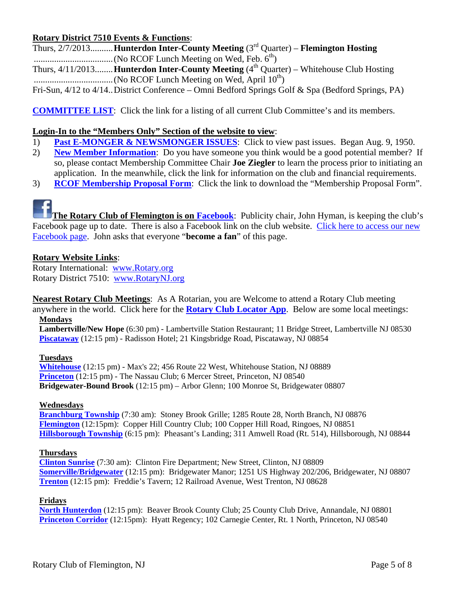# **Rotary District 7510 Events & Functions**:

Thurs, 2/7/2013 .......... **Hunterdon Inter-County Meeting** (3rd Quarter) – **Flemington Hosting**  ................................... (No RCOF Lunch Meeting on Wed, Feb. 6th) Thurs,  $4/11/2013$ ........ **Hunterdon Inter-County Meeting**  $(4<sup>th</sup>$  Quarter) – Whitehouse Club Hosting ................................... (No RCOF Lunch Meeting on Wed, April 10th) Fri-Sun, 4/12 to 4/14 .. District Conference – Omni Bedford Springs Golf & Spa (Bedford Springs, PA)

**COMMITTEE LIST**: Click the link for a listing of all current Club Committee's and its members.

# **Login-In to the "Members Only" Section of the website to view**:

- 1) **Past E-MONGER & NEWSMONGER ISSUES**: Click to view past issues. Began Aug. 9, 1950.
- 2) **New Member Information**: Do you have someone you think would be a good potential member? If so, please contact Membership Committee Chair **Joe Ziegler** to learn the process prior to initiating an application. In the meanwhile, click the link for information on the club and financial requirements.
- 3) **RCOF Membership Proposal Form**: Click the link to download the "Membership Proposal Form".

**The Rotary Club of Flemington is on Facebook**: Publicity chair, John Hyman, is keeping the club's Facebook page up to date. There is also a Facebook link on the club website. Click here to access our new Facebook page. John asks that everyone "**become a fan**" of this page.

# **Rotary Website Links**:

Rotary International: www.Rotary.org Rotary District 7510: www.RotaryNJ.org

**Nearest Rotary Club Meetings**: As A Rotarian, you are Welcome to attend a Rotary Club meeting

anywhere in the world. Click here for the **Rotary Club Locator App**. Below are some local meetings: **Mondays** 

**Lambertville/New Hope** (6:30 pm) - Lambertville Station Restaurant; 11 Bridge Street, Lambertville NJ 08530 **Piscataway** (12:15 pm) - Radisson Hotel; 21 Kingsbridge Road, Piscataway, NJ 08854

# **Tuesdays**

**Whitehouse** (12:15 pm) - Max's 22; 456 Route 22 West, Whitehouse Station, NJ 08889 **Princeton** (12:15 pm) - The Nassau Club; 6 Mercer Street, Princeton, NJ 08540 **Bridgewater-Bound Brook** (12:15 pm) – Arbor Glenn; 100 Monroe St, Bridgewater 08807

### **Wednesdays**

**Branchburg Township** (7:30 am): Stoney Brook Grille; 1285 Route 28, North Branch, NJ 08876 **Flemington** (12:15pm): Copper Hill Country Club; 100 Copper Hill Road, Ringoes, NJ 08851 **Hillsborough Township** (6:15 pm): Pheasant's Landing; 311 Amwell Road (Rt. 514), Hillsborough, NJ 08844

### **Thursdays**

**Clinton Sunrise** (7:30 am): Clinton Fire Department; New Street, Clinton, NJ 08809 **Somerville/Bridgewater** (12:15 pm): Bridgewater Manor; 1251 US Highway 202/206, Bridgewater, NJ 08807 **Trenton** (12:15 pm): Freddie's Tavern; 12 Railroad Avenue, West Trenton, NJ 08628

# **Fridays**

**North Hunterdon** (12:15 pm): Beaver Brook County Club; 25 County Club Drive, Annandale, NJ 08801 **Princeton Corridor** (12:15pm): Hyatt Regency; 102 Carnegie Center, Rt. 1 North, Princeton, NJ 08540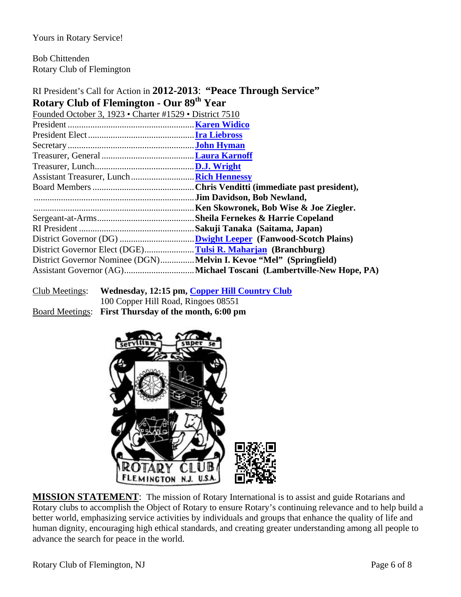Yours in Rotary Service!

Bob Chittenden Rotary Club of Flemington

# RI President's Call for Action in **2012-2013**: **"Peace Through Service" Rotary Club of Flemington - Our 89th Year**

| Founded October 3, 1923 • Charter #1529 • District 7510             |                                        |
|---------------------------------------------------------------------|----------------------------------------|
|                                                                     |                                        |
|                                                                     |                                        |
|                                                                     |                                        |
|                                                                     |                                        |
|                                                                     |                                        |
|                                                                     |                                        |
|                                                                     |                                        |
|                                                                     |                                        |
|                                                                     | Ken Skowronek, Bob Wise & Joe Ziegler. |
|                                                                     |                                        |
|                                                                     |                                        |
|                                                                     |                                        |
|                                                                     |                                        |
| District Governor Nominee (DGN) Melvin I. Kevoe "Mel" (Springfield) |                                        |
|                                                                     |                                        |
|                                                                     |                                        |

| Club Meetings: | Wednesday, 12:15 pm, Copper Hill Country Club        |
|----------------|------------------------------------------------------|
|                | 100 Copper Hill Road, Ringoes 08551                  |
|                | Board Meetings: First Thursday of the month, 6:00 pm |



**MISSION STATEMENT**: The mission of Rotary International is to assist and guide Rotarians and Rotary clubs to accomplish the Object of Rotary to ensure Rotary's continuing relevance and to help build a better world, emphasizing service activities by individuals and groups that enhance the quality of life and human dignity, encouraging high ethical standards, and creating greater understanding among all people to advance the search for peace in the world.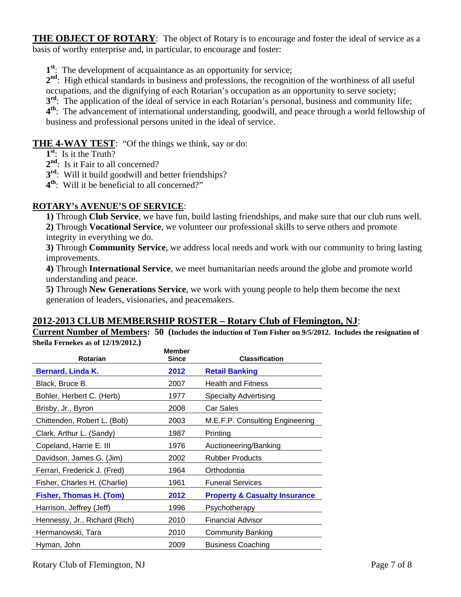**THE OBJECT OF ROTARY:** The object of Rotary is to encourage and foster the ideal of service as a basis of worthy enterprise and, in particular, to encourage and foster:

**1st**: The development of acquaintance as an opportunity for service;

2<sup>nd</sup>: High ethical standards in business and professions, the recognition of the worthiness of all useful occupations, and the dignifying of each Rotarian's occupation as an opportunity to serve society;

**3<sup>rd</sup>:** The application of the ideal of service in each Rotarian's personal, business and community life;

**4th**: The advancement of international understanding, goodwill, and peace through a world fellowship of business and professional persons united in the ideal of service.

# **THE 4-WAY TEST:** "Of the things we think, say or do:

- **1st**: Is it the Truth?
- 2<sup>nd</sup>: Is it Fair to all concerned?
- **3<sup>rd</sup>:** Will it build goodwill and better friendships?
- **4th**: Will it be beneficial to all concerned?"

# **ROTARY's AVENUE'S OF SERVICE**:

**1)** Through **Club Service**, we have fun, build lasting friendships, and make sure that our club runs well. **2)** Through **Vocational Service**, we volunteer our professional skills to serve others and promote integrity in everything we do.

**3)** Through **Community Service**, we address local needs and work with our community to bring lasting improvements.

**4)** Through **International Service**, we meet humanitarian needs around the globe and promote world understanding and peace.

**5)** Through **New Generations Service**, we work with young people to help them become the next generation of leaders, visionaries, and peacemakers.

# **2012-2013 CLUB MEMBERSHIP ROSTER – Rotary Club of Flemington, NJ**:

**Current Number of Members: 50 (Includes the induction of Tom Fisher on 9/5/2012. Includes the resignation of Sheila Fernekes as of 12/19/2012.)** 

| <b>Member</b><br>Since | <b>Classification</b>                    |
|------------------------|------------------------------------------|
| 2012                   | <b>Retail Banking</b>                    |
| 2007                   | <b>Health and Fitness</b>                |
| 1977                   | <b>Specialty Advertising</b>             |
| 2008                   | Car Sales                                |
| 2003                   | M.E.F.P. Consulting Engineering          |
| 1987                   | Printing                                 |
| 1976                   | Auctioneering/Banking                    |
| 2002                   | <b>Rubber Products</b>                   |
| 1964                   | Orthodontia                              |
| 1961                   | <b>Funeral Services</b>                  |
| 2012                   | <b>Property &amp; Casualty Insurance</b> |
| 1996                   | Psychotherapy                            |
| 2010                   | <b>Financial Advisor</b>                 |
| 2010                   | <b>Community Banking</b>                 |
| 2009                   | <b>Business Coaching</b>                 |
|                        |                                          |